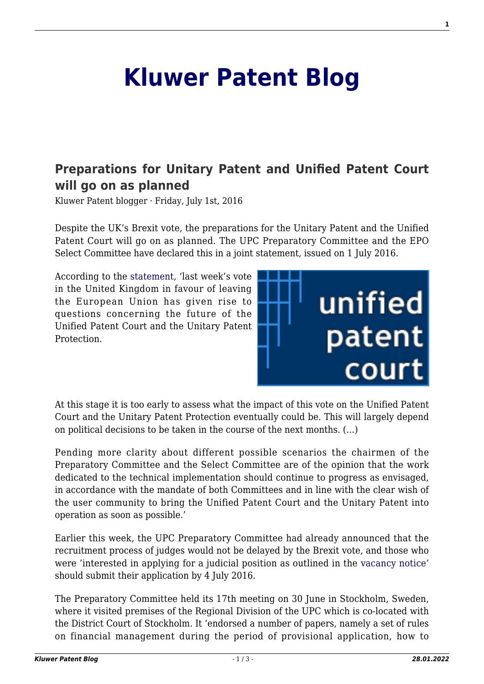## **[Kluwer Patent Blog](http://patentblog.kluweriplaw.com/)**

## **[Preparations for Unitary Patent and Unified Patent Court](http://patentblog.kluweriplaw.com/2016/07/01/preparations-for-unitary-patent-and-unified-patent-court-will-go-on-as-planned/) [will go on as planned](http://patentblog.kluweriplaw.com/2016/07/01/preparations-for-unitary-patent-and-unified-patent-court-will-go-on-as-planned/)**

Kluwer Patent blogger · Friday, July 1st, 2016

Despite the UK's Brexit vote, the preparations for the Unitary Patent and the Unified Patent Court will go on as planned. The UPC Preparatory Committee and the EPO Select Committee have declared this in a joint statement, issued on 1 July 2016.

According to the [statement,](https://www.unified-patent-court.org/sites/default/files/communication_from_the_chairmen.pdf) 'last week's vote in the United Kingdom in favour of leaving the European Union has given rise to questions concerning the future of the Unified Patent Court and the Unitary Patent Protection.



At this stage it is too early to assess what the impact of this vote on the Unified Patent Court and the Unitary Patent Protection eventually could be. This will largely depend on political decisions to be taken in the course of the next months. (…)

Pending more clarity about different possible scenarios the chairmen of the Preparatory Committee and the Select Committee are of the opinion that the work dedicated to the technical implementation should continue to progress as envisaged, in accordance with the mandate of both Committees and in line with the clear wish of the user community to bring the Unified Patent Court and the Unitary Patent into operation as soon as possible.'

Earlier this week, the UPC Preparatory Committee had already announced that the recruitment process of judges would not be delayed by the Brexit vote, and those who were 'interested in applying for a judicial position as outlined in the [vacancy notice](https://www.unified-patent-court.org/news/upc-judicial-recruitment)' should submit their application by 4 July 2016.

The Preparatory Committee held its 17th meeting on 30 June in Stockholm, Sweden, where it visited premises of the Regional Division of the UPC which is co-located with the District Court of Stockholm*.* It 'endorsed a number of papers, namely a set of rules on financial management during the period of provisional application, how to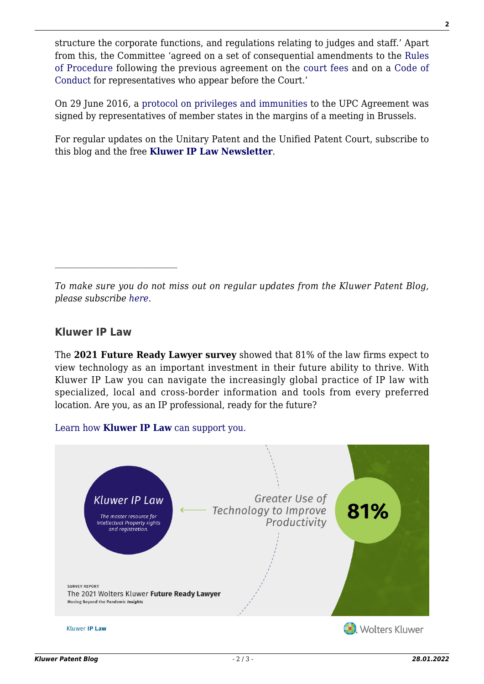structure the corporate functions, and regulations relating to judges and staff.' Apart from this, the Committee 'agreed on a set of consequential amendments to the [Rules](https://www.unified-patent-court.org/sites/default/files/rules_of_procedure_2016.06.pdf) [of Procedure](https://www.unified-patent-court.org/sites/default/files/rules_of_procedure_2016.06.pdf) following the previous agreement on the [court fees](https://www.unified-patent-court.org/sites/default/files/recoverable_costs_2016.06.pdf) and on a [Code of](https://www.unified-patent-court.org/sites/default/files/code_of_conduct_2016.06.pdf) [Conduct](https://www.unified-patent-court.org/sites/default/files/code_of_conduct_2016.06.pdf) for representatives who appear before the Court.'

On 29 June 2016, a [protocol on privileges and immunities](https://www.unified-patent-court.org/sites/default/files/ppi_final_ii_en_clean.pdf) to the UPC Agreement was signed by representatives of member states in the margins of a meeting in Brussels.

For regular updates on the Unitary Patent and the Unified Patent Court, subscribe to this blog and the free **[Kluwer IP Law Newsletter](http://genons.kluwerlawonline.com/public/subscription/KIPL/subscribe/)**.

*To make sure you do not miss out on regular updates from the Kluwer Patent Blog, please subscribe [here.](http://patentblog.kluweriplaw.com/newsletter)*

## **Kluwer IP Law**

The **2021 Future Ready Lawyer survey** showed that 81% of the law firms expect to view technology as an important investment in their future ability to thrive. With Kluwer IP Law you can navigate the increasingly global practice of IP law with specialized, local and cross-border information and tools from every preferred location. Are you, as an IP professional, ready for the future?

[Learn how](https://www.wolterskluwer.com/en/solutions/kluweriplaw?utm_source=patentblog&utm_medium=articleCTA&utm_campaign=article-banner) **[Kluwer IP Law](https://www.wolterskluwer.com/en/solutions/kluweriplaw?utm_source=patentblog&utm_medium=articleCTA&utm_campaign=article-banner)** [can support you.](https://www.wolterskluwer.com/en/solutions/kluweriplaw?utm_source=patentblog&utm_medium=articleCTA&utm_campaign=article-banner)